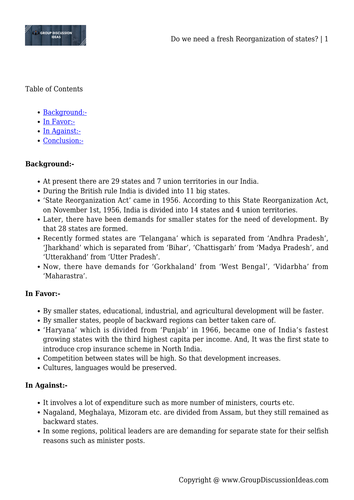

Table of Contents

- [Background:-](#page--1-0)
- [In Favor:-](#page--1-0)
- [In Against:-](#page--1-0)
- [Conclusion:-](#page--1-0)

## **Background:-**

- At present there are 29 states and 7 union territories in our India.
- During the British rule India is divided into 11 big states.
- 'State Reorganization Act' came in 1956. According to this State Reorganization Act, on November 1st, 1956, India is divided into 14 states and 4 union territories.
- Later, there have been demands for smaller states for the need of development. By that 28 states are formed.
- Recently formed states are 'Telangana' which is separated from 'Andhra Pradesh', 'Jharkhand' which is separated from 'Bihar', 'Chattisgarh' from 'Madya Pradesh', and 'Utterakhand' from 'Utter Pradesh'.
- Now, there have demands for 'Gorkhaland' from 'West Bengal', 'Vidarbha' from 'Maharastra'.

## **In Favor:-**

- By smaller states, educational, industrial, and agricultural development will be faster.
- By smaller states, people of backward regions can better taken care of.
- 'Haryana' which is divided from 'Punjab' in 1966, became one of India's fastest growing states with the third highest capita per income. And, It was the first state to introduce crop insurance scheme in North India.
- Competition between states will be high. So that development increases.
- Cultures, languages would be preserved.

## **In Against:-**

- It involves a lot of expenditure such as more number of ministers, courts etc.
- Nagaland, Meghalaya, Mizoram etc. are divided from Assam, but they still remained as backward states.
- In some regions, political leaders are are demanding for separate state for their selfish reasons such as minister posts.